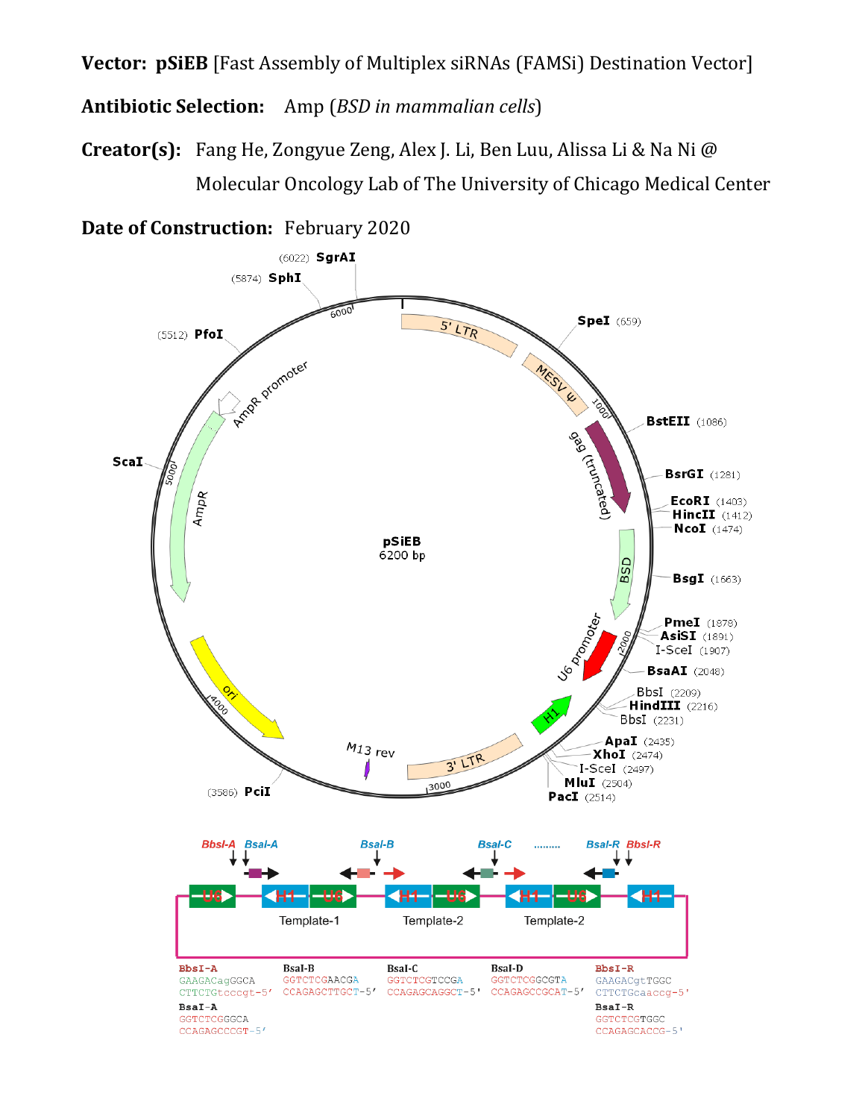**Vector: pSiEB** [Fast Assembly of Multiplex siRNAs (FAMSi) Destination Vector]

**Antibiotic Selection:** Amp (*BSD in mammalian cells*)

**Creator(s):** Fang He, Zongyue Zeng, Alex J. Li, Ben Luu, Alissa Li & Na Ni @ Molecular Oncology Lab of The University of Chicago Medical Center

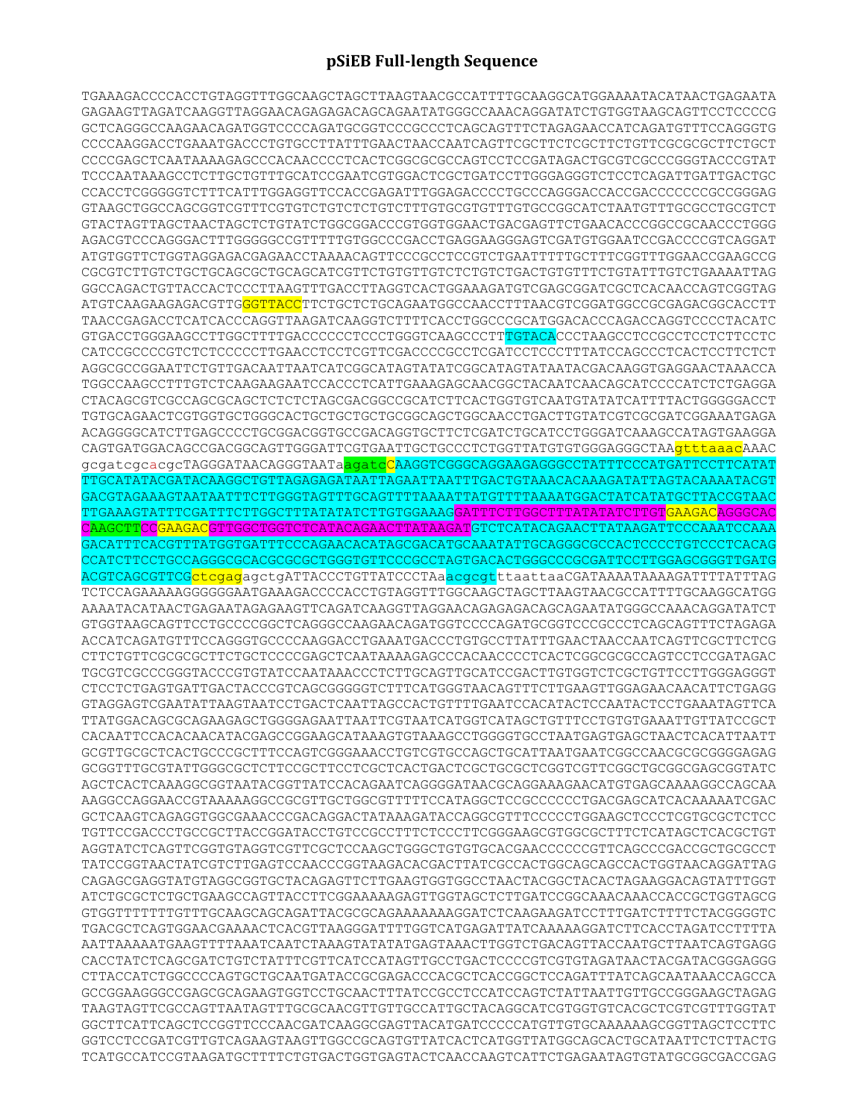## **pSiEB Full-length Sequence**

TGAAAGACCCCACCTGTAGGTTTGGCAAGCTAGCTTAAGTAACGCCATTTTGCAAGGCATGGAAAATACATAACTGAGAATA GAGAAGTTAGATCAAGGTTAGGAACAGAGAGACAGCAGAATATGGGCCAAACAGGATATCTGTGGTAAGCAGTTCCTCCCCG GCTCAGGGCCAAGAACAGATGGTCCCCAGATGCGGTCCCGCCCTCAGCAGTTTCTAGAGAACCATCAGATGTTTCCAGGGTG CCCCAAGGACCTGAAATGACCCTGTGCCTTATTTGAACTAACCAATCAGTTCGCTTCTCGCTTCTGTTCGCGCGCTTCTGCT CCCCGAGCTCAATAAAAGAGCCCACAACCCCTCACTCGGCGCGCCAGTCCTCCGATAGACTGCGTCGCCCGGGTACCCGTAT TCCCAATAAAGCCTCTTGCTGTTTGCATCCGAATCGTGGACTCGCTGATCCTTGGGAGGGTCTCCTCAGATTGATTGACTGC CCACCTCGGGGGTCTTTCATTTGGAGGTTCCACCGAGATTTGGAGACCCCTGCCCAGGGACCACCGACCCCCCCGCCGGGAG GTAAGCTGGCCAGCGGTCGTTTCGTGTCTGTCTCTGTCTTTGTGCGTGTTTGTGCCGGCATCTAATGTTTGCGCCTGCGTCT GTACTAGTTAGCTAACTAGCTCTGTATCTGGCGGACCCGTGGTGGAACTGACGAGTTCTGAACACCCGGCCGCAACCCTGGG AGACGTCCCAGGGACTTTGGGGGCCGTTTTTGTGGCCCGACCTGAGGAAGGGAGTCGATGTGGAATCCGACCCCGTCAGGAT ATGTGGTTCTGGTAGGAGACGAGAACCTAAAACAGTTCCCGCCTCCGTCTGAATTTTTGCTTTCGGTTTGGAACCGAAGCCG CGCGTCTTGTCTGCTGCAGCGCTGCAGCATCGTTCTGTGTTGTCTCTGTCTGACTGTGTTTCTGTATTTGTCTGAAAATTAG GGCCAGACTGTTACCACTCCCTTAAGTTTGACCTTAGGTCACTGGAAAGATGTCGAGCGGATCGCTCACAACCAGTCGGTAG ATGTCAAGAAGAGACGTTGGGTTACCTTCTGCTCTGCAGAATGGCCAACCTTTAACGTCGGATGGCCGCGAGACGGCACCTT TAACCGAGACCTCATCACCCAGGTTAAGATCAAGGTCTTTTCACCTGGCCCGCATGGACACCCAGACCAGGTCCCCTACATC GTGACCTGGGAAGCCTTGGCTTTTGACCCCCCTCCCTGGGTCAAGCCCTTTGTACACCCTAAGCCTCCGCCTCCTCTTCCTC CATCCGCCCCGTCTCTCCCCCTTGAACCTCCTCGTTCGACCCCGCCTCGATCCTCCCTTTATCCAGCCCTCACTCCTTCTCT AGGCGCCGGAATTCTGTTGACAATTAATCATCGGCATAGTATATCGGCATAGTATAATACGACAAGGTGAGGAACTAAACCA TGGCCAAGCCTTTGTCTCAAGAAGAATCCACCCTCATTGAAAGAGCAACGGCTACAATCAACAGCATCCCCATCTCTGAGGA CTACAGCGTCGCCAGCGCAGCTCTCTCTAGCGACGGCCGCATCTTCACTGGTGTCAATGTATATCATTTTACTGGGGGACCT TGTGCAGAACTCGTGGTGCTGGGCACTGCTGCTGCTGCGGCAGCTGGCAACCTGACTTGTATCGTCGCGATCGGAAATGAGA ACAGGGGCATCTTGAGCCCCTGCGGACGGTGCCGACAGGTGCTTCTCGATCTGCATCCTGGGATCAAAGCCATAGTGAAGGA CAGTGATGGACAGCCGACGGCAGTTGGGATTCGTGAATTGCTGCCCTCTGGTTATGTGTGGGAGGGCTAAgtttaaacAAAC gcgatcgcacgcTAGGGATAACAGGGTAATaagatcCAAGGTCGGGCAGGAAGAGGGCCTATTTCCCATGATTCCTTCATAT TTGCATATACGATACAAGGCTGTTAGAGAGATAATTAGAATTAATTTGACTGTAAACACAAAGATATTAGTACAAAATACGT GACGTAGAAAGTAATAATTTCTTGGGTAGTTTGCAGTTTTAAAATTATGTTTTAAAATGGACTATCATATGCTTACCGTAAC TTGAAAGTATTTCGATTTCTTGGCTTTATATATCTTGTGGAAAGGATTTCTTGGCTTTATATATCTTGTGAAGACAGGGCAC CAAGCTTCCGAAGACGTTGGCTGGTCTCATACAGAACTTATAAGATGTCTCATACAGAACTTATAAGATTCCCAAATCCAAA GACATTTCACGTTTATGGTGATTTCCCAGAACACATAGCGACATGCAAATATTGCAGGGCGCCACTCCCCTGTCCCTCACAG CCATCTTCCTGCCAGGGCGCACGCGCGCTGGGTGTTCCCGCCTAGTGACACTGGGCCCGCGATTCCTTGGAGCGGGTTGATG ACGTCAGCGTTCGctcgagagctgATTACCCTGTTATCCCTAaacgcgtttaattaaCGATAAAATAAAAGATTTTATTTAG TCTCCAGAAAAAGGGGGGAATGAAAGACCCCACCTGTAGGTTTGGCAAGCTAGCTTAAGTAACGCCATTTTGCAAGGCATGG AAAATACATAACTGAGAATAGAGAAGTTCAGATCAAGGTTAGGAACAGAGAGACAGCAGAATATGGGCCAAACAGGATATCT GTGGTAAGCAGTTCCTGCCCCGGCTCAGGGCCAAGAACAGATGGTCCCCAGATGCGGTCCCGCCCTCAGCAGTTTCTAGAGA ACCATCAGATGTTTCCAGGGTGCCCCAAGGACCTGAAATGACCCTGTGCCTTATTTGAACTAACCAATCAGTTCGCTTCTCG CTTCTGTTCGCGCGCTTCTGCTCCCCGAGCTCAATAAAAGAGCCCACAACCCCTCACTCGGCGCGCCAGTCCTCCGATAGAC TGCGTCGCCCGGGTACCCGTGTATCCAATAAACCCTCTTGCAGTTGCATCCGACTTGTGGTCTCGCTGTTCCTTGGGAGGGT CTCCTCTGAGTGATTGACTACCCGTCAGCGGGGGTCTTTCATGGGTAACAGTTTCTTGAAGTTGGAGAACAACATTCTGAGG GTAGGAGTCGAATATTAAGTAATCCTGACTCAATTAGCCACTGTTTTGAATCCACATACTCCAATACTCCTGAAATAGTTCA TTATGGACAGCGCAGAAGAGCTGGGGAGAATTAATTCGTAATCATGGTCATAGCTGTTTCCTGTGTGAAATTGTTATCCGCT CACAATTCCACACAACATACGAGCCGGAAGCATAAAGTGTAAAGCCTGGGGTGCCTAATGAGTGAGCTAACTCACATTAATT GCGTTGCGCTCACTGCCCGCTTTCCAGTCGGGAAACCTGTCGTGCCAGCTGCATTAATGAATCGGCCAACGCGCGGGGAGAG GCGGTTTGCGTATTGGGCGCTCTTCCGCTTCCTCGCTCACTGACTCGCTGCGCTCGGTCGTTCGGCTGCGGCGAGCGGTATC AGCTCACTCAAAGGCGGTAATACGGTTATCCACAGAATCAGGGGATAACGCAGGAAAGAACATGTGAGCAAAAGGCCAGCAA AAGGCCAGGAACCGTAAAAAGGCCGCGTTGCTGGCGTTTTTCCATAGGCTCCGCCCCCCTGACGAGCATCACAAAAATCGAC GCTCAAGTCAGAGGTGGCGAAACCCGACAGGACTATAAAGATACCAGGCGTTTCCCCCTGGAAGCTCCCTCGTGCGCTCTCC TGTTCCGACCCTGCCGCTTACCGGATACCTGTCCGCCTTTCTCCCTTCGGGAAGCGTGGCGCTTTCTCATAGCTCACGCTGT AGGTATCTCAGTTCGGTGTAGGTCGTTCGCTCCAAGCTGGGCTGTGTGCACGAACCCCCCGTTCAGCCCGACCGCTGCGCCT TATCCGGTAACTATCGTCTTGAGTCCAACCCGGTAAGACACGACTTATCGCCACTGGCAGCAGCCACTGGTAACAGGATTAG CAGAGCGAGGTATGTAGGCGGTGCTACAGAGTTCTTGAAGTGGTGGCCTAACTACGGCTACACTAGAAGGACAGTATTTGGT ATCTGCGCTCTGCTGAAGCCAGTTACCTTCGGAAAAAGAGTTGGTAGCTCTTGATCCGGCAAACAAACCACCGCTGGTAGCG GTGGTTTTTTTGTTTGCAAGCAGCAGATTACGCGCAGAAAAAAAGGATCTCAAGAAGATCCTTTGATCTTTTCTACGGGGTC TGACGCTCAGTGGAACGAAAACTCACGTTAAGGGATTTTGGTCATGAGATTATCAAAAAGGATCTTCACCTAGATCCTTTTA AATTAAAAATGAAGTTTTAAATCAATCTAAAGTATATATGAGTAAACTTGGTCTGACAGTTACCAATGCTTAATCAGTGAGG CACCTATCTCAGCGATCTGTCTATTTCGTTCATCCATAGTTGCCTGACTCCCCGTCGTGTAGATAACTACGATACGGGAGGG CTTACCATCTGGCCCCAGTGCTGCAATGATACCGCGAGACCCACGCTCACCGGCTCCAGATTTATCAGCAATAAACCAGCCA GCCGGAAGGGCCGAGCGCAGAAGTGGTCCTGCAACTTTATCCGCCTCCATCCAGTCTATTAATTGTTGCCGGGAAGCTAGAG TAAGTAGTTCGCCAGTTAATAGTTTGCGCAACGTTGTTGCCATTGCTACAGGCATCGTGGTGTCACGCTCGTCGTTTGGTAT GGCTTCATTCAGCTCCGGTTCCCAACGATCAAGGCGAGTTACATGATCCCCCATGTTGTGCAAAAAAGCGGTTAGCTCCTTC GGTCCTCCGATCGTTGTCAGAAGTAAGTTGGCCGCAGTGTTATCACTCATGGTTATGGCAGCACTGCATAATTCTCTTACTG TCATGCCATCCGTAAGATGCTTTTCTGTGACTGGTGAGTACTCAACCAAGTCATTCTGAGAATAGTGTATGCGGCGACCGAG